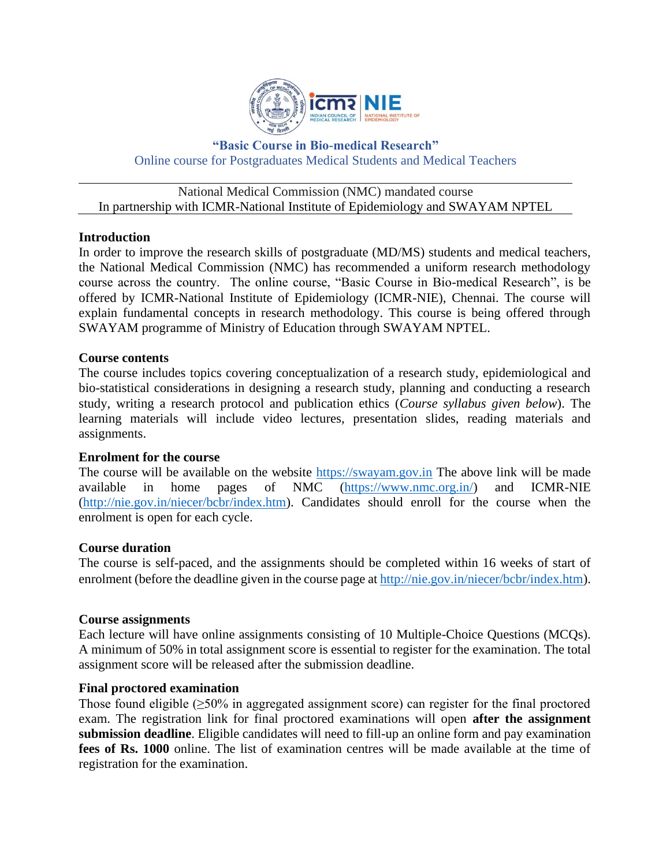

# **"Basic Course in Bio-medical Research"** Online course for Postgraduates Medical Students and Medical Teachers

#### National Medical Commission (NMC) mandated course In partnership with ICMR-National Institute of Epidemiology and SWAYAM NPTEL

#### **Introduction**

In order to improve the research skills of postgraduate (MD/MS) students and medical teachers, the National Medical Commission (NMC) has recommended a uniform research methodology course across the country. The online course, "Basic Course in Bio-medical Research", is be offered by ICMR-National Institute of Epidemiology (ICMR-NIE), Chennai. The course will explain fundamental concepts in research methodology. This course is being offered through SWAYAM programme of Ministry of Education through SWAYAM NPTEL.

#### **Course contents**

The course includes topics covering conceptualization of a research study, epidemiological and bio-statistical considerations in designing a research study, planning and conducting a research study, writing a research protocol and publication ethics (*Course syllabus given below*). The learning materials will include video lectures, presentation slides, reading materials and assignments.

#### **Enrolment for the course**

The course will be available on the website [https://swayam.gov.in](https://swayam.gov.in/) The above link will be made available in home pages of NMC [\(https://www.nmc.org.in/\)](https://www.nmc.org.in/) and ICMR-NIE [\(http://nie.gov.in/niecer/bcbr/index.htm\)](http://nie.gov.in/niecer/bcbr/index.htm). Candidates should enroll for the course when the enrolment is open for each cycle.

#### **Course duration**

The course is self-paced, and the assignments should be completed within 16 weeks of start of enrolment (before the deadline given in the course page at [http://nie.gov.in/niecer/bcbr/index.htm\)](http://nie.gov.in/niecer/bcbr/index.htm).

#### **Course assignments**

Each lecture will have online assignments consisting of 10 Multiple-Choice Questions (MCQs). A minimum of 50% in total assignment score is essential to register for the examination. The total assignment score will be released after the submission deadline.

#### **Final proctored examination**

Those found eligible (≥50% in aggregated assignment score) can register for the final proctored exam. The registration link for final proctored examinations will open **after the assignment submission deadline**. Eligible candidates will need to fill-up an online form and pay examination **fees of Rs. 1000** online. The list of examination centres will be made available at the time of registration for the examination.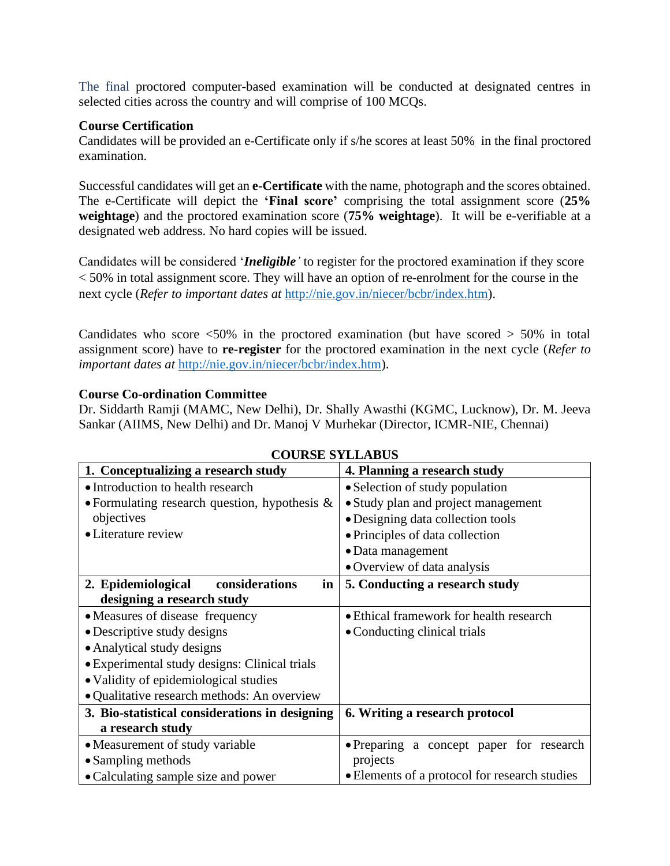The final proctored computer-based examination will be conducted at designated centres in selected cities across the country and will comprise of 100 MCQs.

### **Course Certification**

Candidates will be provided an e-Certificate only if s/he scores at least 50% in the final proctored examination.

Successful candidates will get an **e-Certificate** with the name, photograph and the scores obtained. The e-Certificate will depict the **'Final score'** comprising the total assignment score (**25% weightage**) and the proctored examination score (**75% weightage**). It will be e-verifiable at a designated web address. No hard copies will be issued.

Candidates will be considered '*Ineligible'* to register for the proctored examination if they score  $<$  50% in total assignment score. They will have an option of re-enrolment for the course in the next cycle (*Refer to important dates at* [http://nie.gov.in/niecer/bcbr/index.htm\)](http://nie.gov.in/niecer/bcbr/index.htm).

Candidates who score  $\langle 50\%$  in the proctored examination (but have scored  $> 50\%$  in total assignment score) have to **re-register** for the proctored examination in the next cycle (*Refer to important dates at* [http://nie.gov.in/niecer/bcbr/index.htm\)](http://nie.gov.in/niecer/bcbr/index.htm).

### **Course Co-ordination Committee**

Dr. Siddarth Ramji (MAMC, New Delhi), Dr. Shally Awasthi (KGMC, Lucknow), Dr. M. Jeeva Sankar (AIIMS, New Delhi) and Dr. Manoj V Murhekar (Director, ICMR-NIE, Chennai)

| 1. Conceptualizing a research study              | 4. Planning a research study                  |
|--------------------------------------------------|-----------------------------------------------|
| • Introduction to health research                | • Selection of study population               |
| • Formulating research question, hypothesis $\&$ | • Study plan and project management           |
| objectives                                       | • Designing data collection tools             |
| • Literature review                              | • Principles of data collection               |
|                                                  | • Data management                             |
|                                                  | • Overview of data analysis                   |
| 2. Epidemiological<br>considerations<br>in       | 5. Conducting a research study                |
| designing a research study                       |                                               |
| • Measures of disease frequency                  | • Ethical framework for health research       |
| • Descriptive study designs                      | • Conducting clinical trials                  |
| • Analytical study designs                       |                                               |
| • Experimental study designs: Clinical trials    |                                               |
| • Validity of epidemiological studies            |                                               |
| · Qualitative research methods: An overview      |                                               |
| 3. Bio-statistical considerations in designing   | 6. Writing a research protocol                |
| a research study                                 |                                               |
| • Measurement of study variable                  | • Preparing a concept paper for research      |
| • Sampling methods                               | projects                                      |
| • Calculating sample size and power              | • Elements of a protocol for research studies |

#### **COURSE SYLLABUS**